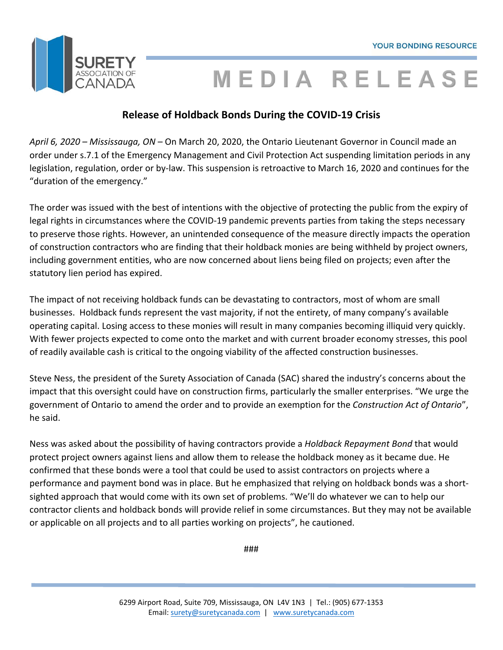

## MEDIA RELEASE

### **Release of Holdback Bonds During the COVID‐19 Crisis**

*April 6, 2020 – Mississauga, ON* – On March 20, 2020, the Ontario Lieutenant Governor in Council made an order under s.7.1 of the Emergency Management and Civil Protection Act suspending limitation periods in any legislation, regulation, order or by‐law. This suspension is retroactive to March 16, 2020 and continues for the "duration of the emergency."

The order was issued with the best of intentions with the objective of protecting the public from the expiry of legal rights in circumstances where the COVID‐19 pandemic prevents parties from taking the steps necessary to preserve those rights. However, an unintended consequence of the measure directly impacts the operation of construction contractors who are finding that their holdback monies are being withheld by project owners, including government entities, who are now concerned about liens being filed on projects; even after the statutory lien period has expired.

The impact of not receiving holdback funds can be devastating to contractors, most of whom are small businesses. Holdback funds represent the vast majority, if not the entirety, of many company's available operating capital. Losing access to these monies will result in many companies becoming illiquid very quickly. With fewer projects expected to come onto the market and with current broader economy stresses, this pool of readily available cash is critical to the ongoing viability of the affected construction businesses.

Steve Ness, the president of the Surety Association of Canada (SAC) shared the industry's concerns about the impact that this oversight could have on construction firms, particularly the smaller enterprises. "We urge the government of Ontario to amend the order and to provide an exemption for the *Construction Act of Ontario*", he said.

Ness was asked about the possibility of having contractors provide a *Holdback Repayment Bond* that would protect project owners against liens and allow them to release the holdback money as it became due. He confirmed that these bonds were a tool that could be used to assist contractors on projects where a performance and payment bond was in place. But he emphasized that relying on holdback bonds was a short‐ sighted approach that would come with its own set of problems. "We'll do whatever we can to help our contractor clients and holdback bonds will provide relief in some circumstances. But they may not be available or applicable on all projects and to all parties working on projects", he cautioned.

###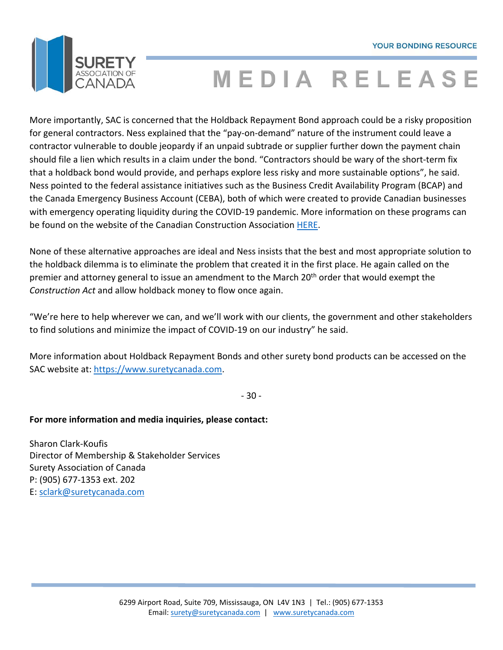

# **MEDIA RELEASE**

More importantly, SAC is concerned that the Holdback Repayment Bond approach could be a risky proposition for general contractors. Ness explained that the "pay-on-demand" nature of the instrument could leave a contractor vulnerable to double jeopardy if an unpaid subtrade or supplier further down the payment chain should file a lien which results in a claim under the bond. "Contractors should be wary of the short‐term fix that a holdback bond would provide, and perhaps explore less risky and more sustainable options", he said. Ness pointed to the federal assistance initiatives such as the Business Credit Availability Program (BCAP) and the Canada Emergency Business Account (CEBA), both of which were created to provide Canadian businesses with emergency operating liquidity during the COVID-19 pandemic. More information on these programs can be found on the website of the Canadian Construction Association HERE.

None of these alternative approaches are ideal and Ness insists that the best and most appropriate solution to the holdback dilemma is to eliminate the problem that created it in the first place. He again called on the premier and attorney general to issue an amendment to the March 20<sup>th</sup> order that would exempt the *Construction Act* and allow holdback money to flow once again.

"We're here to help wherever we can, and we'll work with our clients, the government and other stakeholders to find solutions and minimize the impact of COVID‐19 on our industry" he said.

More information about Holdback Repayment Bonds and other surety bond products can be accessed on the SAC website at: https://www.suretycanada.com.

‐ 30 ‐

### **For more information and media inquiries, please contact:**

Sharon Clark‐Koufis Director of Membership & Stakeholder Services Surety Association of Canada P: (905) 677‐1353 ext. 202 E: sclark@suretycanada.com